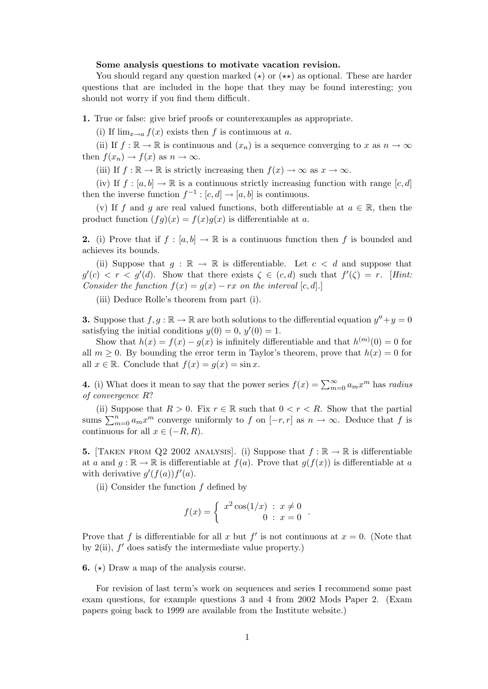## Some analysis questions to motivate vacation revision.

You should regard any question marked  $(\star)$  or  $(\star \star)$  as optional. These are harder questions that are included in the hope that they may be found interesting; you should not worry if you find them difficult.

1. True or false: give brief proofs or counterexamples as appropriate.

(i) If  $\lim_{x\to a} f(x)$  exists then f is continuous at a.

(ii) If  $f : \mathbb{R} \to \mathbb{R}$  is continuous and  $(x_n)$  is a sequence converging to x as  $n \to \infty$ then  $f(x_n) \to f(x)$  as  $n \to \infty$ .

(iii) If  $f : \mathbb{R} \to \mathbb{R}$  is strictly increasing then  $f(x) \to \infty$  as  $x \to \infty$ .

(iv) If  $f : [a, b] \to \mathbb{R}$  is a continuous strictly increasing function with range  $[c, d]$ then the inverse function  $f^{-1}$ :  $[c, d] \rightarrow [a, b]$  is continuous.

(v) If f and g are real valued functions, both differentiable at  $a \in \mathbb{R}$ , then the product function  $(fg)(x) = f(x)g(x)$  is differentiable at a.

2. (i) Prove that if  $f : [a, b] \to \mathbb{R}$  is a continuous function then f is bounded and achieves its bounds.

(ii) Suppose that  $q : \mathbb{R} \to \mathbb{R}$  is differentiable. Let  $c < d$  and suppose that  $g'(c) < r < g'(d)$ . Show that there exists  $\zeta \in (c, d)$  such that  $f'(\zeta) = r$ . [Hint: Consider the function  $f(x) = g(x) - rx$  on the interval [c, d].]

(iii) Deduce Rolle's theorem from part (i).

**3.** Suppose that  $f, g : \mathbb{R} \to \mathbb{R}$  are both solutions to the differential equation  $y'' + y = 0$ satisfying the initial conditions  $y(0) = 0, y'(0) = 1$ .

Show that  $h(x) = f(x) - g(x)$  is infinitely differentiable and that  $h^{(m)}(0) = 0$  for all  $m \geq 0$ . By bounding the error term in Taylor's theorem, prove that  $h(x) = 0$  for all  $x \in \mathbb{R}$ . Conclude that  $f(x) = g(x) = \sin x$ .

4. (i) What does it mean to say that the power series  $f(x) = \sum_{m=0}^{\infty} a_m x^m$  has radius of convergence R?

(ii) Suppose that  $R > 0$ . Fix  $r \in \mathbb{R}$  such that  $0 < r < R$ . Show that the partial sums  $\sum_{m=0}^{n} a_m x^m$  converge uniformly to f on  $[-r, r]$  as  $n \to \infty$ . Deduce that f is continuous for all  $x \in (-R, R)$ .

**5.** [TAKEN FROM Q2 2002 ANALYSIS]. (i) Suppose that  $f : \mathbb{R} \to \mathbb{R}$  is differentiable at a and  $g : \mathbb{R} \to \mathbb{R}$  is differentiable at  $f(a)$ . Prove that  $g(f(x))$  is differentiable at a with derivative  $g'(f(a))f'(a)$ .

(ii) Consider the function  $f$  defined by

$$
f(x) = \begin{cases} x^2 \cos(1/x) & : x \neq 0 \\ 0 & : x = 0 \end{cases}.
$$

Prove that f is differentiable for all x but f' is not continuous at  $x = 0$ . (Note that by  $2(ii)$ ,  $f'$  does satisfy the intermediate value property.)

**6.**  $(\star)$  Draw a map of the analysis course.

For revision of last term's work on sequences and series I recommend some past exam questions, for example questions 3 and 4 from 2002 Mods Paper 2. (Exam papers going back to 1999 are available from the Institute website.)